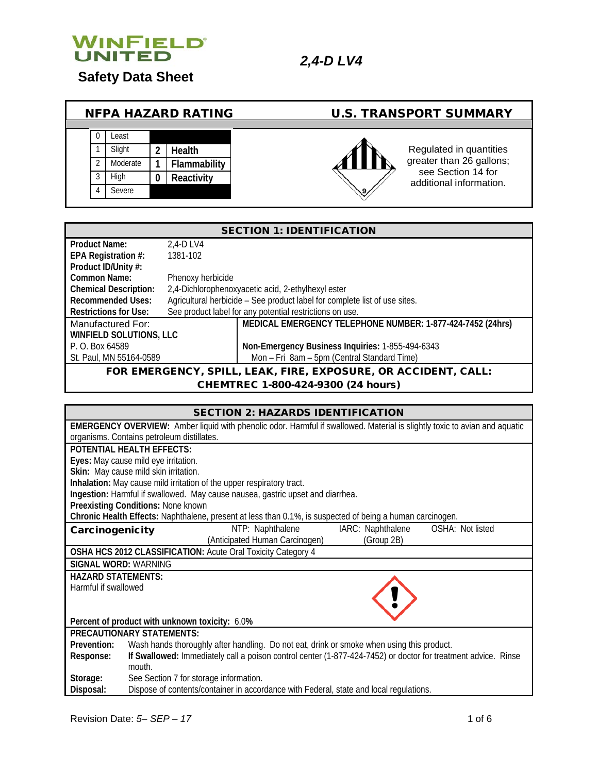

# **Safety Data Sheet**

| <b>NFPA HAZARD RATING</b> |          |                  |              |               | <b>U.S. TRANSPORT SUMMARY</b>                  |
|---------------------------|----------|------------------|--------------|---------------|------------------------------------------------|
|                           | _east    |                  |              |               |                                                |
|                           | Slight   | 2                | Health       |               | Regulated in quantities                        |
|                           | Moderate |                  | Flammability |               | greater than 26 gallons;<br>see Section 14 for |
|                           | High     | $\boldsymbol{0}$ | Reactivity   |               | additional information.                        |
|                           | Severe   |                  |              | $\mathscr{Y}$ |                                                |
|                           |          |                  |              |               |                                                |

| <b>SECTION 1: IDENTIFICATION</b>                               |                   |                                                                            |  |
|----------------------------------------------------------------|-------------------|----------------------------------------------------------------------------|--|
| <b>Product Name:</b>                                           | 2.4-D LV4         |                                                                            |  |
| EPA Registration #:                                            | 1381-102          |                                                                            |  |
| Product ID/Unity #:                                            |                   |                                                                            |  |
| Common Name:                                                   | Phenoxy herbicide |                                                                            |  |
| <b>Chemical Description:</b>                                   |                   | 2,4-Dichlorophenoxyacetic acid, 2-ethylhexyl ester                         |  |
| <b>Recommended Uses:</b>                                       |                   | Agricultural herbicide - See product label for complete list of use sites. |  |
| <b>Restrictions for Use:</b>                                   |                   | See product label for any potential restrictions on use.                   |  |
| Manufactured For:                                              |                   | MEDICAL EMERGENCY TELEPHONE NUMBER: 1-877-424-7452 (24hrs)                 |  |
| WINFIELD SOLUTIONS, LLC                                        |                   |                                                                            |  |
| P. O. Box 64589                                                |                   | Non-Emergency Business Inquiries: 1-855-494-6343                           |  |
| St. Paul, MN 55164-0589                                        |                   | Mon - Fri 8am - 5pm (Central Standard Time)                                |  |
| FOR EMERGENCY, SPILL, LEAK, FIRE, EXPOSURE, OR ACCIDENT, CALL: |                   |                                                                            |  |

CHEMTREC 1-800-424-9300 (24 hours)

| <b>SECTION 2: HAZARDS IDENTIFICATION</b>                     |                                                                                                                                   |  |  |  |  |
|--------------------------------------------------------------|-----------------------------------------------------------------------------------------------------------------------------------|--|--|--|--|
|                                                              | <b>EMERGENCY OVERVIEW:</b> Amber liquid with phenolic odor. Harmful if swallowed. Material is slightly toxic to avian and aquatic |  |  |  |  |
|                                                              | organisms. Contains petroleum distillates.                                                                                        |  |  |  |  |
|                                                              | <b>POTENTIAL HEALTH EFFECTS:</b>                                                                                                  |  |  |  |  |
|                                                              | Eyes: May cause mild eye irritation.                                                                                              |  |  |  |  |
|                                                              | Skin: May cause mild skin irritation.                                                                                             |  |  |  |  |
|                                                              | Inhalation: May cause mild irritation of the upper respiratory tract.                                                             |  |  |  |  |
|                                                              | Ingestion: Harmful if swallowed. May cause nausea, gastric upset and diarrhea.                                                    |  |  |  |  |
|                                                              | Preexisting Conditions: None known                                                                                                |  |  |  |  |
|                                                              | Chronic Health Effects: Naphthalene, present at less than 0.1%, is suspected of being a human carcinogen.                         |  |  |  |  |
|                                                              | IARC: Naphthalene  OSHA: Not listed<br>NTP: Naphthalene<br>Carcinogenicity                                                        |  |  |  |  |
|                                                              | (Anticipated Human Carcinogen)<br>(Group 2B)                                                                                      |  |  |  |  |
| OSHA HCS 2012 CLASSIFICATION: Acute Oral Toxicity Category 4 |                                                                                                                                   |  |  |  |  |
| <b>SIGNAL WORD: WARNING</b>                                  |                                                                                                                                   |  |  |  |  |
| <b>HAZARD STATEMENTS:</b>                                    |                                                                                                                                   |  |  |  |  |
| Harmful if swallowed                                         |                                                                                                                                   |  |  |  |  |
|                                                              |                                                                                                                                   |  |  |  |  |
|                                                              |                                                                                                                                   |  |  |  |  |
| Percent of product with unknown toxicity: 6.0%               |                                                                                                                                   |  |  |  |  |
| <b>PRECAUTIONARY STATEMENTS:</b>                             |                                                                                                                                   |  |  |  |  |
| Prevention:                                                  | Wash hands thoroughly after handling. Do not eat, drink or smoke when using this product.                                         |  |  |  |  |
| Response:                                                    | If Swallowed: Immediately call a poison control center (1-877-424-7452) or doctor for treatment advice. Rinse                     |  |  |  |  |
|                                                              | mouth.                                                                                                                            |  |  |  |  |
| Storage:                                                     | See Section 7 for storage information.                                                                                            |  |  |  |  |
| Disposal:                                                    | Dispose of contents/container in accordance with Federal, state and local regulations.                                            |  |  |  |  |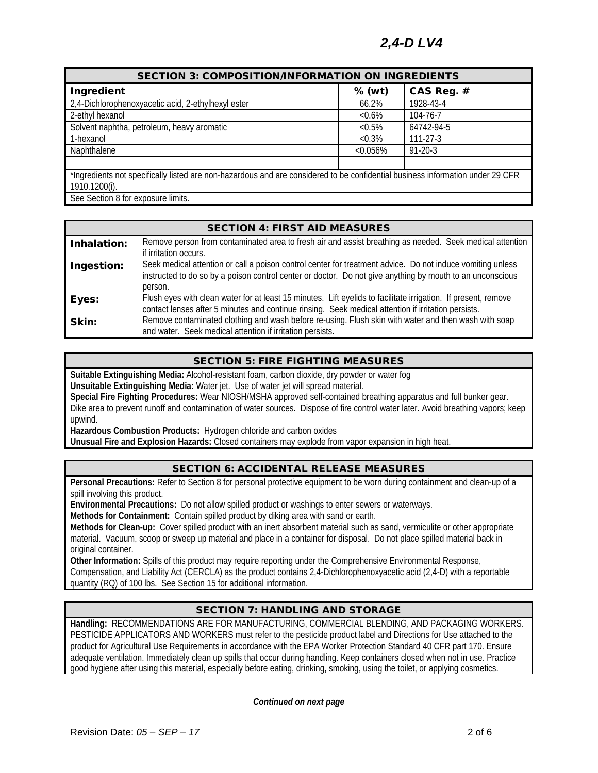# *2,4-D LV4*

| <b>SECTION 3: COMPOSITION/INFORMATION ON INGREDIENTS</b>                                                                       |           |                |  |  |  |
|--------------------------------------------------------------------------------------------------------------------------------|-----------|----------------|--|--|--|
| $%$ (wt)<br>Ingredient<br>CAS Reg. #                                                                                           |           |                |  |  |  |
| 2,4-Dichlorophenoxyacetic acid, 2-ethylhexyl ester                                                                             | 66.2%     | 1928-43-4      |  |  |  |
| 2-ethyl hexanol<br>104-76-7<br>$&0.6\%$                                                                                        |           |                |  |  |  |
| Solvent naphtha, petroleum, heavy aromatic<br>64742-94-5<br>$< 0.5\%$                                                          |           |                |  |  |  |
| 1-hexanol                                                                                                                      | $< 0.3\%$ | $111 - 27 - 3$ |  |  |  |
| Naphthalene                                                                                                                    | < 0.056%  | $91 - 20 - 3$  |  |  |  |
|                                                                                                                                |           |                |  |  |  |
| *Ingredients not specifically listed are non-hazardous and are considered to be confidential business information under 29 CFR |           |                |  |  |  |
| 1910.1200(i).                                                                                                                  |           |                |  |  |  |

See Section 8 for exposure limits.

### SECTION 4: FIRST AID MEASURES

| Inhalation: | Remove person from contaminated area to fresh air and assist breathing as needed. Seek medical attention<br>if irritation occurs.                                                                                                  |
|-------------|------------------------------------------------------------------------------------------------------------------------------------------------------------------------------------------------------------------------------------|
| Ingestion:  | Seek medical attention or call a poison control center for treatment advice. Do not induce vomiting unless<br>instructed to do so by a poison control center or doctor. Do not give anything by mouth to an unconscious<br>person. |
| Eyes:       | Flush eyes with clean water for at least 15 minutes. Lift eyelids to facilitate irrigation. If present, remove<br>contact lenses after 5 minutes and continue rinsing. Seek medical attention if irritation persists.              |
| Skin:       | Remove contaminated clothing and wash before re-using. Flush skin with water and then wash with soap<br>and water. Seek medical attention if irritation persists.                                                                  |

### SECTION 5: FIRE FIGHTING MEASURES

**Suitable Extinguishing Media:** Alcohol-resistant foam, carbon dioxide, dry powder or water fog

**Unsuitable Extinguishing Media:** Water jet. Use of water jet will spread material.

**Special Fire Fighting Procedures:** Wear NIOSH/MSHA approved self-contained breathing apparatus and full bunker gear. Dike area to prevent runoff and contamination of water sources. Dispose of fire control water later. Avoid breathing vapors; keep upwind.

**Hazardous Combustion Products:** Hydrogen chloride and carbon oxides

**Unusual Fire and Explosion Hazards:** Closed containers may explode from vapor expansion in high heat.

# SECTION 6: ACCIDENTAL RELEASE MEASURES

**Personal Precautions:** Refer to Section 8 for personal protective equipment to be worn during containment and clean-up of a spill involving this product.

**Environmental Precautions:** Do not allow spilled product or washings to enter sewers or waterways.

**Methods for Containment:** Contain spilled product by diking area with sand or earth.

**Methods for Clean-up:** Cover spilled product with an inert absorbent material such as sand, vermiculite or other appropriate material. Vacuum, scoop or sweep up material and place in a container for disposal. Do not place spilled material back in original container.

**Other Information:** Spills of this product may require reporting under the Comprehensive Environmental Response, Compensation, and Liability Act (CERCLA) as the product contains 2,4-Dichlorophenoxyacetic acid (2,4-D) with a reportable quantity (RQ) of 100 lbs. See Section 15 for additional information.

# SECTION 7: HANDLING AND STORAGE

**Handling:** RECOMMENDATIONS ARE FOR MANUFACTURING, COMMERCIAL BLENDING, AND PACKAGING WORKERS. PESTICIDE APPLICATORS AND WORKERS must refer to the pesticide product label and Directions for Use attached to the product for Agricultural Use Requirements in accordance with the EPA Worker Protection Standard 40 CFR part 170. Ensure adequate ventilation. Immediately clean up spills that occur during handling. Keep containers closed when not in use. Practice good hygiene after using this material, especially before eating, drinking, smoking, using the toilet, or applying cosmetics.

*Continued on next page*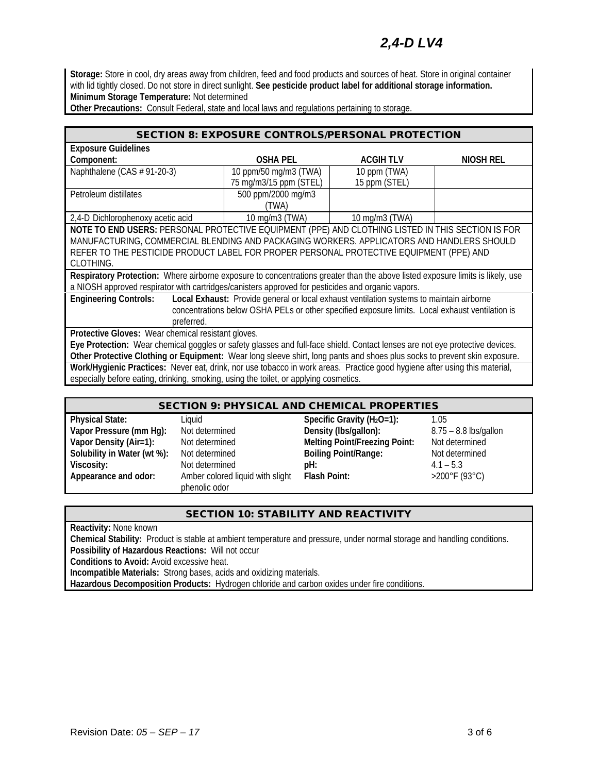# *2,4-D LV4*

**Storage:** Store in cool, dry areas away from children, feed and food products and sources of heat. Store in original container with lid tightly closed. Do not store in direct sunlight. **See pesticide product label for additional storage information. Minimum Storage Temperature:** Not determined

**Other Precautions:** Consult Federal, state and local laws and regulations pertaining to storage.

| <b>SECTION 8: EXPOSURE CONTROLS/PERSONAL PROTECTION</b>                                                                        |                        |                 |           |  |
|--------------------------------------------------------------------------------------------------------------------------------|------------------------|-----------------|-----------|--|
| <b>Exposure Guidelines</b>                                                                                                     |                        |                 |           |  |
| Component:                                                                                                                     | <b>OSHA PEL</b>        | <b>ACGIHTLV</b> | NIOSH REL |  |
| Naphthalene (CAS $# 91-20-3$ )                                                                                                 | 10 ppm/50 mg/m3 (TWA)  | 10 ppm (TWA)    |           |  |
|                                                                                                                                | 75 mg/m3/15 ppm (STEL) | 15 ppm (STEL)   |           |  |
| Petroleum distillates                                                                                                          | 500 ppm/2000 mg/m3     |                 |           |  |
|                                                                                                                                | (TWA)                  |                 |           |  |
| 2,4-D Dichlorophenoxy acetic acid                                                                                              | 10 mg/m3 (TWA)         | 10 mg/m3 (TWA)  |           |  |
| NOTE TO END USERS: PERSONAL PROTECTIVE EQUIPMENT (PPE) AND CLOTHING LISTED IN THIS SECTION IS FOR                              |                        |                 |           |  |
| MANUFACTURING, COMMERCIAL BLENDING AND PACKAGING WORKERS. APPLICATORS AND HANDLERS SHOULD                                      |                        |                 |           |  |
| REFER TO THE PESTICIDE PRODUCT LABEL FOR PROPER PERSONAL PROTECTIVE EQUIPMENT (PPE) AND                                        |                        |                 |           |  |
| CLOTHING.                                                                                                                      |                        |                 |           |  |
| Respiratory Protection: Where airborne exposure to concentrations greater than the above listed exposure limits is likely, use |                        |                 |           |  |
| a NIOSH approved respirator with cartridges/canisters approved for pesticides and organic vapors.                              |                        |                 |           |  |
| Local Exhaust: Provide general or local exhaust ventilation systems to maintain airborne<br><b>Engineering Controls:</b>       |                        |                 |           |  |
| concentrations below OSHA PELs or other specified exposure limits. Local exhaust ventilation is                                |                        |                 |           |  |
| preferred.                                                                                                                     |                        |                 |           |  |
| Protective Gloves: Wear chemical resistant gloves.                                                                             |                        |                 |           |  |
| Eye Protection: Wear chemical goggles or safety glasses and full-face shield. Contact lenses are not eye protective devices.   |                        |                 |           |  |
| Other Protective Clothing or Equipment: Wear long sleeve shirt, long pants and shoes plus socks to prevent skin exposure.      |                        |                 |           |  |
| Work/Hygienic Practices: Never eat, drink, nor use tobacco in work areas. Practice good hygiene after using this material,     |                        |                 |           |  |
| especially before eating, drinking, smoking, using the toilet, or applying cosmetics.                                          |                        |                 |           |  |

#### SECTION 9: PHYSICAL AND CHEMICAL PROPERTIES

- **Appearance and odor:** Amber colored liquid with slight
- phenolic odor
- **Physical State:** Liquid **Specific Gravity (H2O=1):** 1.05 **Vapor Pressure (mm Hg):** Not determined **Density (Ibs/gallon):** 8.75 – 8.8 lbs/gallon<br> **Vapor Density (Air=1):** Not determined **Melting Point/Freezing Point:** Not determined **Melting Point/Freezing Point: Solubility in Water (wt %):** Not determined **Boiling Point/Range:** Not determined **Viscosity:** Not determined **pH:** 4.1 – 5.3 **Flash Point:** >200°F (93°C)
	-

#### SECTION 10: STABILITY AND REACTIVITY

**Reactivity:** None known

**Chemical Stability:** Product is stable at ambient temperature and pressure, under normal storage and handling conditions.

**Possibility of Hazardous Reactions:** Will not occur

**Conditions to Avoid:** Avoid excessive heat.

**Incompatible Materials:** Strong bases, acids and oxidizing materials.

**Hazardous Decomposition Products:** Hydrogen chloride and carbon oxides under fire conditions.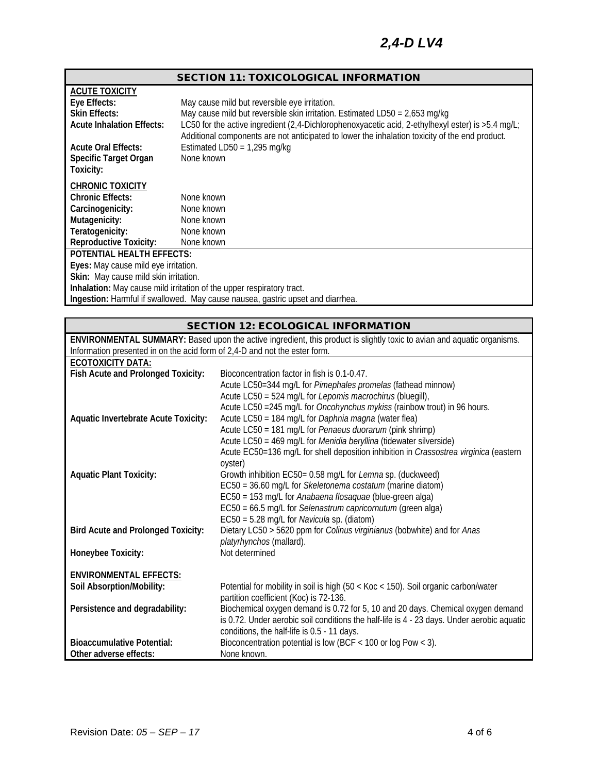# SECTION 11: TOXICOLOGICAL INFORMATION

| <b>ACUTE TOXICITY</b>                                                          |                                                                                                     |  |  |  |
|--------------------------------------------------------------------------------|-----------------------------------------------------------------------------------------------------|--|--|--|
| Eye Effects:                                                                   | May cause mild but reversible eye irritation.                                                       |  |  |  |
| <b>Skin Effects:</b>                                                           | May cause mild but reversible skin irritation. Estimated LD50 = $2,653$ mg/kg                       |  |  |  |
| <b>Acute Inhalation Effects:</b>                                               | LC50 for the active ingredient (2,4-Dichlorophenoxyacetic acid, 2-ethylhexyl ester) is $>5.4$ mg/L; |  |  |  |
|                                                                                | Additional components are not anticipated to lower the inhalation toxicity of the end product.      |  |  |  |
| <b>Acute Oral Effects:</b>                                                     | Estimated LD50 = $1,295$ mg/kg                                                                      |  |  |  |
| <b>Specific Target Organ</b>                                                   | None known                                                                                          |  |  |  |
| Toxicity:                                                                      |                                                                                                     |  |  |  |
| <b>CHRONIC TOXICITY</b>                                                        |                                                                                                     |  |  |  |
| <b>Chronic Effects:</b>                                                        | None known                                                                                          |  |  |  |
| Carcinogenicity:                                                               | None known                                                                                          |  |  |  |
| Mutagenicity:                                                                  | None known                                                                                          |  |  |  |
| Teratogenicity:                                                                | None known                                                                                          |  |  |  |
| <b>Reproductive Toxicity:</b>                                                  | None known                                                                                          |  |  |  |
| POTENTIAL HEALTH EFFECTS:                                                      |                                                                                                     |  |  |  |
| Eyes: May cause mild eye irritation.                                           |                                                                                                     |  |  |  |
| Skin: May cause mild skin irritation.                                          |                                                                                                     |  |  |  |
| Inhalation: May cause mild irritation of the upper respiratory tract.          |                                                                                                     |  |  |  |
| Ingestion: Harmful if swallowed. May cause nausea, gastric upset and diarrhea. |                                                                                                     |  |  |  |

# SECTION 12: ECOLOGICAL INFORMATION

| <b>ECOTOXICITY DATA:</b><br>Fish Acute and Prolonged Toxicity:<br>Bioconcentration factor in fish is 0.1-0.47.<br>Acute LC50=344 mg/L for Pimephales promelas (fathead minnow)<br>Acute LC50 = 524 mg/L for Lepomis macrochirus (bluegill),<br>Acute LC50 = 245 mg/L for <i>Oncohynchus mykiss</i> (rainbow trout) in 96 hours.<br>Acute LC50 = 184 mg/L for Daphnia magna (water flea)<br><b>Aquatic Invertebrate Acute Toxicity:</b><br>Acute LC50 = 181 mg/L for Penaeus duorarum (pink shrimp)<br>Acute LC50 = 469 mg/L for Menidia beryllina (tidewater silverside)<br>Acute EC50=136 mg/L for shell deposition inhibition in Crassostrea virginica (eastern<br>oyster)<br>Growth inhibition EC50= 0.58 mg/L for Lemna sp. (duckweed)<br><b>Aquatic Plant Toxicity:</b><br>EC50 = 36.60 mg/L for Skeletonema costatum (marine diatom)<br>EC50 = 153 mg/L for Anabaena flosaquae (blue-green alga)<br>EC50 = 66.5 mg/L for Selenastrum capricornutum (green alga)<br>EC50 = 5.28 mg/L for Navicula sp. (diatom)<br>Dietary LC50 > 5620 ppm for Colinus virginianus (bobwhite) and for Anas<br><b>Bird Acute and Prolonged Toxicity:</b><br>platyrhynchos (mallard).<br>Not determined<br>Honeybee Toxicity:<br><b>ENVIRONMENTAL EFFECTS:</b><br>Soil Absorption/Mobility:<br>Potential for mobility in soil is high (50 < Koc < 150). Soil organic carbon/water<br>partition coefficient (Koc) is 72-136.<br>Biochemical oxygen demand is 0.72 for 5, 10 and 20 days. Chemical oxygen demand<br>Persistence and degradability:<br>is 0.72. Under aerobic soil conditions the half-life is 4 - 23 days. Under aerobic aquatic | ENVIRONMENTAL SUMMARY: Based upon the active ingredient, this product is slightly toxic to avian and aquatic organisms. |             |  |  |  |
|----------------------------------------------------------------------------------------------------------------------------------------------------------------------------------------------------------------------------------------------------------------------------------------------------------------------------------------------------------------------------------------------------------------------------------------------------------------------------------------------------------------------------------------------------------------------------------------------------------------------------------------------------------------------------------------------------------------------------------------------------------------------------------------------------------------------------------------------------------------------------------------------------------------------------------------------------------------------------------------------------------------------------------------------------------------------------------------------------------------------------------------------------------------------------------------------------------------------------------------------------------------------------------------------------------------------------------------------------------------------------------------------------------------------------------------------------------------------------------------------------------------------------------------------------------------------------------------------------------------------------------|-------------------------------------------------------------------------------------------------------------------------|-------------|--|--|--|
|                                                                                                                                                                                                                                                                                                                                                                                                                                                                                                                                                                                                                                                                                                                                                                                                                                                                                                                                                                                                                                                                                                                                                                                                                                                                                                                                                                                                                                                                                                                                                                                                                                  | Information presented in on the acid form of 2,4-D and not the ester form.                                              |             |  |  |  |
|                                                                                                                                                                                                                                                                                                                                                                                                                                                                                                                                                                                                                                                                                                                                                                                                                                                                                                                                                                                                                                                                                                                                                                                                                                                                                                                                                                                                                                                                                                                                                                                                                                  |                                                                                                                         |             |  |  |  |
|                                                                                                                                                                                                                                                                                                                                                                                                                                                                                                                                                                                                                                                                                                                                                                                                                                                                                                                                                                                                                                                                                                                                                                                                                                                                                                                                                                                                                                                                                                                                                                                                                                  |                                                                                                                         |             |  |  |  |
|                                                                                                                                                                                                                                                                                                                                                                                                                                                                                                                                                                                                                                                                                                                                                                                                                                                                                                                                                                                                                                                                                                                                                                                                                                                                                                                                                                                                                                                                                                                                                                                                                                  |                                                                                                                         |             |  |  |  |
|                                                                                                                                                                                                                                                                                                                                                                                                                                                                                                                                                                                                                                                                                                                                                                                                                                                                                                                                                                                                                                                                                                                                                                                                                                                                                                                                                                                                                                                                                                                                                                                                                                  |                                                                                                                         |             |  |  |  |
|                                                                                                                                                                                                                                                                                                                                                                                                                                                                                                                                                                                                                                                                                                                                                                                                                                                                                                                                                                                                                                                                                                                                                                                                                                                                                                                                                                                                                                                                                                                                                                                                                                  |                                                                                                                         |             |  |  |  |
|                                                                                                                                                                                                                                                                                                                                                                                                                                                                                                                                                                                                                                                                                                                                                                                                                                                                                                                                                                                                                                                                                                                                                                                                                                                                                                                                                                                                                                                                                                                                                                                                                                  |                                                                                                                         |             |  |  |  |
|                                                                                                                                                                                                                                                                                                                                                                                                                                                                                                                                                                                                                                                                                                                                                                                                                                                                                                                                                                                                                                                                                                                                                                                                                                                                                                                                                                                                                                                                                                                                                                                                                                  |                                                                                                                         |             |  |  |  |
|                                                                                                                                                                                                                                                                                                                                                                                                                                                                                                                                                                                                                                                                                                                                                                                                                                                                                                                                                                                                                                                                                                                                                                                                                                                                                                                                                                                                                                                                                                                                                                                                                                  |                                                                                                                         |             |  |  |  |
|                                                                                                                                                                                                                                                                                                                                                                                                                                                                                                                                                                                                                                                                                                                                                                                                                                                                                                                                                                                                                                                                                                                                                                                                                                                                                                                                                                                                                                                                                                                                                                                                                                  |                                                                                                                         |             |  |  |  |
|                                                                                                                                                                                                                                                                                                                                                                                                                                                                                                                                                                                                                                                                                                                                                                                                                                                                                                                                                                                                                                                                                                                                                                                                                                                                                                                                                                                                                                                                                                                                                                                                                                  |                                                                                                                         |             |  |  |  |
|                                                                                                                                                                                                                                                                                                                                                                                                                                                                                                                                                                                                                                                                                                                                                                                                                                                                                                                                                                                                                                                                                                                                                                                                                                                                                                                                                                                                                                                                                                                                                                                                                                  |                                                                                                                         |             |  |  |  |
|                                                                                                                                                                                                                                                                                                                                                                                                                                                                                                                                                                                                                                                                                                                                                                                                                                                                                                                                                                                                                                                                                                                                                                                                                                                                                                                                                                                                                                                                                                                                                                                                                                  |                                                                                                                         |             |  |  |  |
|                                                                                                                                                                                                                                                                                                                                                                                                                                                                                                                                                                                                                                                                                                                                                                                                                                                                                                                                                                                                                                                                                                                                                                                                                                                                                                                                                                                                                                                                                                                                                                                                                                  |                                                                                                                         |             |  |  |  |
|                                                                                                                                                                                                                                                                                                                                                                                                                                                                                                                                                                                                                                                                                                                                                                                                                                                                                                                                                                                                                                                                                                                                                                                                                                                                                                                                                                                                                                                                                                                                                                                                                                  |                                                                                                                         |             |  |  |  |
|                                                                                                                                                                                                                                                                                                                                                                                                                                                                                                                                                                                                                                                                                                                                                                                                                                                                                                                                                                                                                                                                                                                                                                                                                                                                                                                                                                                                                                                                                                                                                                                                                                  |                                                                                                                         |             |  |  |  |
|                                                                                                                                                                                                                                                                                                                                                                                                                                                                                                                                                                                                                                                                                                                                                                                                                                                                                                                                                                                                                                                                                                                                                                                                                                                                                                                                                                                                                                                                                                                                                                                                                                  |                                                                                                                         |             |  |  |  |
|                                                                                                                                                                                                                                                                                                                                                                                                                                                                                                                                                                                                                                                                                                                                                                                                                                                                                                                                                                                                                                                                                                                                                                                                                                                                                                                                                                                                                                                                                                                                                                                                                                  |                                                                                                                         |             |  |  |  |
|                                                                                                                                                                                                                                                                                                                                                                                                                                                                                                                                                                                                                                                                                                                                                                                                                                                                                                                                                                                                                                                                                                                                                                                                                                                                                                                                                                                                                                                                                                                                                                                                                                  |                                                                                                                         |             |  |  |  |
|                                                                                                                                                                                                                                                                                                                                                                                                                                                                                                                                                                                                                                                                                                                                                                                                                                                                                                                                                                                                                                                                                                                                                                                                                                                                                                                                                                                                                                                                                                                                                                                                                                  |                                                                                                                         |             |  |  |  |
|                                                                                                                                                                                                                                                                                                                                                                                                                                                                                                                                                                                                                                                                                                                                                                                                                                                                                                                                                                                                                                                                                                                                                                                                                                                                                                                                                                                                                                                                                                                                                                                                                                  |                                                                                                                         |             |  |  |  |
|                                                                                                                                                                                                                                                                                                                                                                                                                                                                                                                                                                                                                                                                                                                                                                                                                                                                                                                                                                                                                                                                                                                                                                                                                                                                                                                                                                                                                                                                                                                                                                                                                                  |                                                                                                                         |             |  |  |  |
|                                                                                                                                                                                                                                                                                                                                                                                                                                                                                                                                                                                                                                                                                                                                                                                                                                                                                                                                                                                                                                                                                                                                                                                                                                                                                                                                                                                                                                                                                                                                                                                                                                  |                                                                                                                         |             |  |  |  |
|                                                                                                                                                                                                                                                                                                                                                                                                                                                                                                                                                                                                                                                                                                                                                                                                                                                                                                                                                                                                                                                                                                                                                                                                                                                                                                                                                                                                                                                                                                                                                                                                                                  |                                                                                                                         |             |  |  |  |
|                                                                                                                                                                                                                                                                                                                                                                                                                                                                                                                                                                                                                                                                                                                                                                                                                                                                                                                                                                                                                                                                                                                                                                                                                                                                                                                                                                                                                                                                                                                                                                                                                                  |                                                                                                                         |             |  |  |  |
| conditions, the half-life is 0.5 - 11 days.                                                                                                                                                                                                                                                                                                                                                                                                                                                                                                                                                                                                                                                                                                                                                                                                                                                                                                                                                                                                                                                                                                                                                                                                                                                                                                                                                                                                                                                                                                                                                                                      |                                                                                                                         |             |  |  |  |
| Bioconcentration potential is low (BCF < 100 or log Pow < 3).<br><b>Bioaccumulative Potential:</b>                                                                                                                                                                                                                                                                                                                                                                                                                                                                                                                                                                                                                                                                                                                                                                                                                                                                                                                                                                                                                                                                                                                                                                                                                                                                                                                                                                                                                                                                                                                               |                                                                                                                         |             |  |  |  |
|                                                                                                                                                                                                                                                                                                                                                                                                                                                                                                                                                                                                                                                                                                                                                                                                                                                                                                                                                                                                                                                                                                                                                                                                                                                                                                                                                                                                                                                                                                                                                                                                                                  | Other adverse effects:                                                                                                  | None known. |  |  |  |
|                                                                                                                                                                                                                                                                                                                                                                                                                                                                                                                                                                                                                                                                                                                                                                                                                                                                                                                                                                                                                                                                                                                                                                                                                                                                                                                                                                                                                                                                                                                                                                                                                                  |                                                                                                                         |             |  |  |  |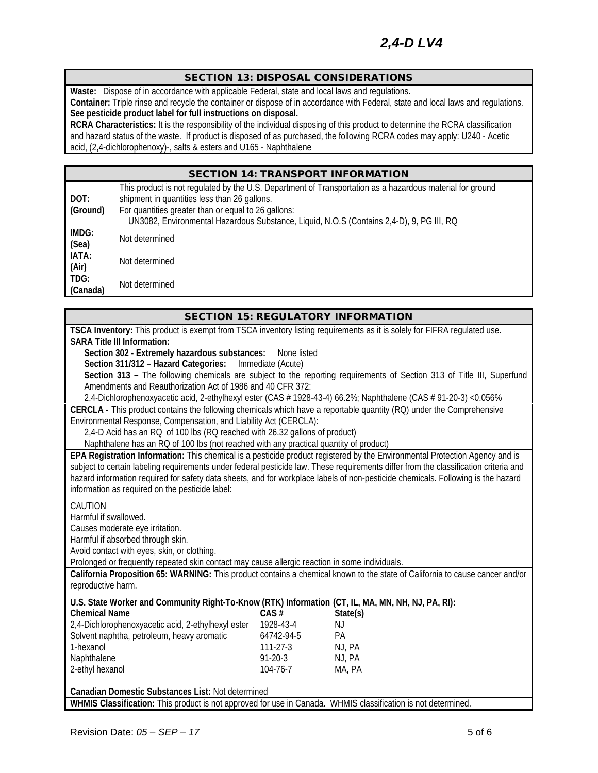#### SECTION 13: DISPOSAL CONSIDERATIONS

**Waste:** Dispose of in accordance with applicable Federal, state and local laws and regulations.

**Container:** Triple rinse and recycle the container or dispose of in accordance with Federal, state and local laws and regulations. See pesticide product label for full instructions on disposal.

**RCRA Characteristics:** It is the responsibility of the individual disposing of this product to determine the RCRA classification and hazard status of the waste. If product is disposed of as purchased, the following RCRA codes may apply: U240 - Acetic acid, (2,4-dichlorophenoxy)-, salts & esters and U165 - Naphthalene

# SECTION 14: TRANSPORT INFORMATION

| DOT:<br>(Ground) | This product is not regulated by the U.S. Department of Transportation as a hazardous material for ground<br>shipment in quantities less than 26 gallons.<br>For quantities greater than or equal to 26 gallons: |
|------------------|------------------------------------------------------------------------------------------------------------------------------------------------------------------------------------------------------------------|
|                  | UN3082, Environmental Hazardous Substance, Liquid, N.O.S (Contains 2,4-D), 9, PG III, RQ                                                                                                                         |
| IMDG:<br>(Sea)   | Not determined                                                                                                                                                                                                   |
| IATA:<br>(Air)   | Not determined                                                                                                                                                                                                   |
| TDG:<br>(Canada) | Not determined                                                                                                                                                                                                   |

| <b>SECTION 15: REGULATORY INFORMATION</b>                                                                                    |                   |                                                                                                                                      |  |  |
|------------------------------------------------------------------------------------------------------------------------------|-------------------|--------------------------------------------------------------------------------------------------------------------------------------|--|--|
| TSCA Inventory: This product is exempt from TSCA inventory listing requirements as it is solely for FIFRA regulated use.     |                   |                                                                                                                                      |  |  |
| <b>SARA Title III Information:</b>                                                                                           |                   |                                                                                                                                      |  |  |
| Section 302 - Extremely hazardous substances:                                                                                | None listed       |                                                                                                                                      |  |  |
| Section 311/312 - Hazard Categories:                                                                                         | Immediate (Acute) |                                                                                                                                      |  |  |
|                                                                                                                              |                   | Section 313 - The following chemicals are subject to the reporting requirements of Section 313 of Title III, Superfund               |  |  |
| Amendments and Reauthorization Act of 1986 and 40 CFR 372:                                                                   |                   |                                                                                                                                      |  |  |
|                                                                                                                              |                   | 2,4-Dichlorophenoxyacetic acid, 2-ethylhexyl ester (CAS # 1928-43-4) 66.2%; Naphthalene (CAS # 91-20-3) <0.056%                      |  |  |
| CERCLA - This product contains the following chemicals which have a reportable quantity (RQ) under the Comprehensive         |                   |                                                                                                                                      |  |  |
| Environmental Response, Compensation, and Liability Act (CERCLA):                                                            |                   |                                                                                                                                      |  |  |
| 2,4-D Acid has an RQ of 100 lbs (RQ reached with 26.32 gallons of product)                                                   |                   |                                                                                                                                      |  |  |
| Naphthalene has an RQ of 100 lbs (not reached with any practical quantity of product)                                        |                   |                                                                                                                                      |  |  |
|                                                                                                                              |                   | EPA Registration Information: This chemical is a pesticide product registered by the Environmental Protection Agency and is          |  |  |
|                                                                                                                              |                   | subject to certain labeling requirements under federal pesticide law. These requirements differ from the classification criteria and |  |  |
|                                                                                                                              |                   | hazard information required for safety data sheets, and for workplace labels of non-pesticide chemicals. Following is the hazard     |  |  |
| information as required on the pesticide label:                                                                              |                   |                                                                                                                                      |  |  |
| CAUTION                                                                                                                      |                   |                                                                                                                                      |  |  |
| Harmful if swallowed.                                                                                                        |                   |                                                                                                                                      |  |  |
| Causes moderate eye irritation.                                                                                              |                   |                                                                                                                                      |  |  |
| Harmful if absorbed through skin.                                                                                            |                   |                                                                                                                                      |  |  |
| Avoid contact with eyes, skin, or clothing.                                                                                  |                   |                                                                                                                                      |  |  |
| Prolonged or frequently repeated skin contact may cause allergic reaction in some individuals.                               |                   |                                                                                                                                      |  |  |
| California Proposition 65: WARNING: This product contains a chemical known to the state of California to cause cancer and/or |                   |                                                                                                                                      |  |  |
| reproductive harm.                                                                                                           |                   |                                                                                                                                      |  |  |
| U.S. State Worker and Community Right-To-Know (RTK) Information (CT, IL, MA, MN, NH, NJ, PA, RI):                            |                   |                                                                                                                                      |  |  |
| <b>Chemical Name</b>                                                                                                         | CAS#              | State(s)                                                                                                                             |  |  |
| 2,4-Dichlorophenoxyacetic acid, 2-ethylhexyl ester                                                                           | 1928-43-4         | NJ                                                                                                                                   |  |  |
| Solvent naphtha, petroleum, heavy aromatic                                                                                   | 64742-94-5        | <b>PA</b>                                                                                                                            |  |  |
| 1-hexanol                                                                                                                    | $111 - 27 - 3$    | NJ, PA                                                                                                                               |  |  |
| Naphthalene                                                                                                                  | $91 - 20 - 3$     | NJ, PA                                                                                                                               |  |  |
| 2-ethyl hexanol                                                                                                              | 104-76-7          | MA, PA                                                                                                                               |  |  |
| Canadian Domestic Substances List: Not determined                                                                            |                   |                                                                                                                                      |  |  |
| WHMIS Classification: This product is not approved for use in Canada. WHMIS classification is not determined.                |                   |                                                                                                                                      |  |  |
|                                                                                                                              |                   |                                                                                                                                      |  |  |